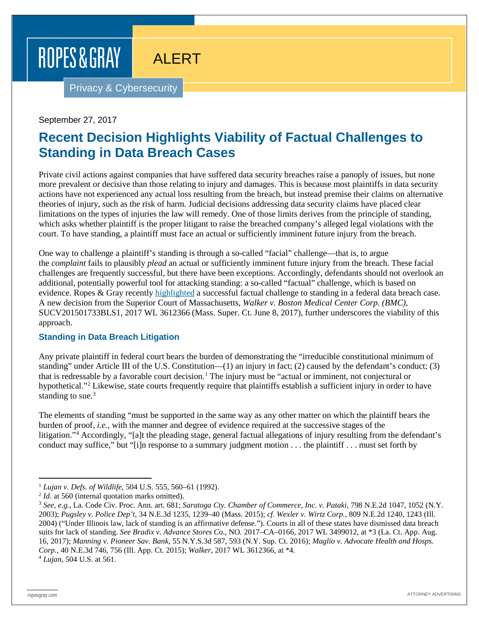# ROPES & GRAY

ALERT

Privacy & Cybersecurity

#### September 27, 2017

# **Recent Decision Highlights Viability of Factual Challenges to Standing in Data Breach Cases**

Private civil actions against companies that have suffered data security breaches raise a panoply of issues, but none more prevalent or decisive than those relating to injury and damages. This is because most plaintiffs in data security actions have not experienced any actual loss resulting from the breach, but instead premise their claims on alternative theories of injury, such as the risk of harm. Judicial decisions addressing data security claims have placed clear limitations on the types of injuries the law will remedy. One of those limits derives from the principle of standing, which asks whether plaintiff is the proper litigant to raise the breached company's alleged legal violations with the court. To have standing, a plaintiff must face an actual or sufficiently imminent future injury from the breach.

One way to challenge a plaintiff's standing is through a so-called "facial" challenge—that is, to argue the *complaint* fails to plausibly *plead* an actual or sufficiently imminent future injury from the breach. These facial challenges are frequently successful, but there have been exceptions. Accordingly, defendants should not overlook an additional, potentially powerful tool for attacking standing: a so-called "factual" challenge, which is based on evidence. Ropes & Gray recently [highlighted](https://www.ropesgray.com/newsroom/alerts/2017/04/Another-Way-To-Challenge-Standing-In-Data-Breach-Cases.aspx) a successful factual challenge to standing in a federal data breach case. A new decision from the Superior Court of Massachusetts, *Walker v. Boston Medical Center Corp. (BMC)*, SUCV201501733BLS1, 2017 WL 3612366 (Mass. Super. Ct. June 8, 2017), further underscores the viability of this approach.

## **Standing in Data Breach Litigation**

Any private plaintiff in federal court bears the burden of demonstrating the "irreducible constitutional minimum of standing" under Article III of the U.S. Constitution— $(1)$  an injury in fact;  $(2)$  caused by the defendant's conduct;  $(3)$ that is redressable by a favorable court decision.<sup>[1](#page-3-0)</sup> The injury must be "actual or imminent, not conjectural or hypothetical."[2](#page-0-0) Likewise, state courts frequently require that plaintiffs establish a sufficient injury in order to have standing to sue. $3$ 

The elements of standing "must be supported in the same way as any other matter on which the plaintiff bears the burden of proof, *i.e.*, with the manner and degree of evidence required at the successive stages of the litigation."<sup>4</sup> Accordingly, "[a]t the pleading stage, general factual allegations of injury resulting from the defendant's conduct may suffice," but "[i]n response to a summary judgment motion . . . the plaintiff . . . must set forth by

 <sup>1</sup> *Lujan v. Defs. of Wildlife*, 504 U.S. 555, 560–61 (1992).

<span id="page-0-0"></span><sup>&</sup>lt;sup>2</sup> *Id*. at 560 (internal quotation marks omitted).

<span id="page-0-1"></span><sup>3</sup> *See, e.g.*, La. Code Civ. Proc. Ann. art. 681; *Saratoga Cty. Chamber of Commerce, Inc. v. Pataki*, 798 N.E.2d 1047, 1052 (N.Y. 2003); *Pugsley v. Police Dep't*, 34 N.E.3d 1235, 1239–40 (Mass. 2015); *cf. Wexler v. Wirtz Corp.*, 809 N.E.2d 1240, 1243 (Ill. 2004) ("Under Illinois law, lack of standing is an affirmative defense."). Courts in all of these states have dismissed data breach suits for lack of standing. *See Bradix v. Advance Stores Co*., NO. 2017–CA–0166, 2017 WL 3499012, at \*3 (La. Ct. App. Aug. 16, 2017); *Manning v. Pioneer Sav. Bank*, 55 N.Y.S.3d 587, 593 (N.Y. Sup. Ct. 2016); *Maglio v. Advocate Health and Hosps. Corp.*, 40 N.E.3d 746, 756 (Ill. App. Ct. 2015); *Walker*, 2017 WL 3612366, at \*4.

<span id="page-0-2"></span><sup>4</sup> *Lujan*, 504 U.S. at 561.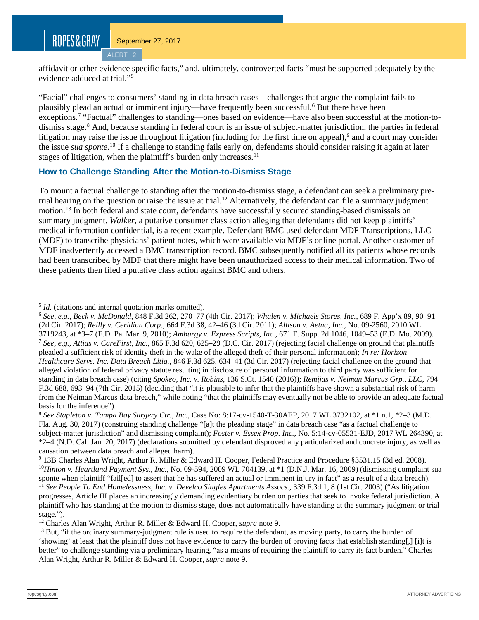## ROPES&GRAY

ALERT | 2

affidavit or other evidence specific facts," and, ultimately, controverted facts "must be supported adequately by the evidence adduced at trial."[5](#page-1-0)

"Facial" challenges to consumers' standing in data breach cases—challenges that argue the complaint fails to plausibly plead an actual or imminent injury—have frequently been successful.[6](#page-1-1) But there have been exceptions.[7](#page-1-2) "Factual" challenges to standing—ones based on evidence—have also been successful at the motion-to-dismiss stage.<sup>[8](#page-1-3)</sup> And, because standing in federal court is an issue of subject-matter jurisdiction, the parties in federal litigation may raise the issue throughout litigation (including for the first time on appeal),<sup>[9](#page-1-4)</sup> and a court may consider the issue *sua sponte*. [10](#page-1-5) If a challenge to standing fails early on, defendants should consider raising it again at later stages of litigation, when the plaintiff's burden only increases.<sup>[11](#page-1-6)</sup>

### **How to Challenge Standing After the Motion-to-Dismiss Stage**

To mount a factual challenge to standing after the motion-to-dismiss stage, a defendant can seek a preliminary pre-trial hearing on the question or raise the issue at trial.<sup>[12](#page-1-7)</sup> Alternatively, the defendant can file a summary judgment motion.[13](#page-1-8) In both federal and state court, defendants have successfully secured standing-based dismissals on summary judgment. *Walker*, a putative consumer class action alleging that defendants did not keep plaintiffs' medical information confidential, is a recent example. Defendant BMC used defendant MDF Transcriptions, LLC (MDF) to transcribe physicians' patient notes, which were available via MDF's online portal. Another customer of MDF inadvertently accessed a BMC transcription record. BMC subsequently notified all its patients whose records had been transcribed by MDF that there might have been unauthorized access to their medical information. Two of these patients then filed a putative class action against BMC and others.

<span id="page-1-7"></span><sup>12</sup> Charles Alan Wright, Arthur R. Miller & Edward H. Cooper, *supra* note 9.

<span id="page-1-0"></span><sup>&</sup>lt;sup>5</sup> *Id*. (citations and internal quotation marks omitted).

<span id="page-1-2"></span><span id="page-1-1"></span><sup>6</sup> *See, e.g., Beck v. McDonald*, 848 F.3d 262, 270–77 (4th Cir. 2017); *Whalen v. Michaels Stores, Inc.*, 689 F. App'x 89, 90–91 (2d Cir. 2017); *Reilly v. Ceridian Corp.*, 664 F.3d 38, 42–46 (3d Cir. 2011); *Allison v. Aetna, Inc.*, No. 09-2560, 2010 WL 3719243, at \*3–7 (E.D. Pa. Mar. 9, 2010); *Amburgy v. Express Scripts, Inc.*, 671 F. Supp. 2d 1046, 1049–53 (E.D. Mo. 2009). <sup>7</sup> *See, e.g., Attias v. CareFirst, Inc.*, 865 F.3d 620, 625–29 (D.C. Cir. 2017) (rejecting facial challenge on ground that plaintiffs pleaded a sufficient risk of identity theft in the wake of the alleged theft of their personal information); *In re: Horizon Healthcare Servs. Inc. Data Breach Litig.*, 846 F.3d 625, 634–41 (3d Cir. 2017) (rejecting facial challenge on the ground that alleged violation of federal privacy statute resulting in disclosure of personal information to third party was sufficient for standing in data breach case) (citing *Spokeo, Inc. v. Robins*, 136 S.Ct. 1540 (2016)); *Remijas v. Neiman Marcus Grp., LLC*, 794 F.3d 688, 693–94 (7th Cir. 2015) (deciding that "it is plausible to infer that the plaintiffs have shown a substantial risk of harm from the Neiman Marcus data breach," while noting "that the plaintiffs may eventually not be able to provide an adequate factual basis for the inference").

<span id="page-1-3"></span><sup>8</sup> *See Stapleton v. Tampa Bay Surgery Ctr., Inc.*, Case No: 8:17-cv-1540-T-30AEP, 2017 WL 3732102, at \*1 n.1, \*2–3 (M.D. Fla. Aug. 30, 2017) (construing standing challenge "[a]t the pleading stage" in data breach case "as a factual challenge to subject-matter jurisdiction" and dismissing complaint); *Foster v. Essex Prop. Inc.*, No. 5:14-cv-05531-EJD, 2017 WL 264390, at \*2–4 (N.D. Cal. Jan. 20, 2017) (declarations submitted by defendant disproved any particularized and concrete injury, as well as causation between data breach and alleged harm).

<span id="page-1-5"></span><span id="page-1-4"></span><sup>9</sup> 13B Charles Alan Wright, Arthur R. Miller & Edward H. Cooper, Federal Practice and Procedure §3531.15 (3d ed. 2008). <sup>10</sup>*Hinton v. Heartland Payment Sys., Inc.*, No. 09-594, 2009 WL 704139, at \*1 (D.N.J. Mar. 16, 2009) (dismissing complaint sua

<span id="page-1-6"></span>sponte when plaintiff "fail[ed] to assert that he has suffered an actual or imminent injury in fact" as a result of a data breach). <sup>11</sup> See People To End Homelessness, Inc. v. Develco Singles Apartments Assocs., 339 F.3d 1, 8 (1st Cir. 2003) ("As litigation progresses, Article III places an increasingly demanding evidentiary burden on parties that seek to invoke federal jurisdiction. A plaintiff who has standing at the motion to dismiss stage, does not automatically have standing at the summary judgment or trial stage.").

<span id="page-1-8"></span><sup>&</sup>lt;sup>13</sup> But, "if the ordinary summary-judgment rule is used to require the defendant, as moving party, to carry the burden of 'showing' at least that the plaintiff does not have evidence to carry the burden of proving facts that establish standing[,] [i]t is better" to challenge standing via a preliminary hearing, "as a means of requiring the plaintiff to carry its fact burden." Charles Alan Wright, Arthur R. Miller & Edward H. Cooper, *supra* note 9.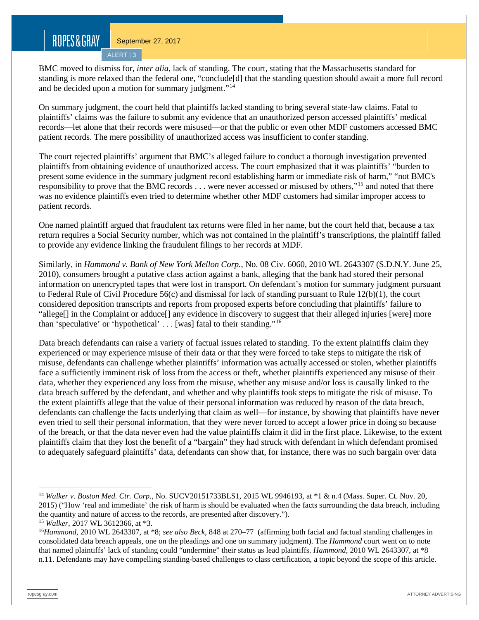## ROPES&GRAY

BMC moved to dismiss for, *inter alia*, lack of standing. The court, stating that the Massachusetts standard for standing is more relaxed than the federal one, "conclude[d] that the standing question should await a more full record and be decided upon a motion for summary judgment."[14](#page-2-0)

On summary judgment, the court held that plaintiffs lacked standing to bring several state-law claims. Fatal to plaintiffs' claims was the failure to submit any evidence that an unauthorized person accessed plaintiffs' medical records—let alone that their records were misused—or that the public or even other MDF customers accessed BMC patient records. The mere possibility of unauthorized access was insufficient to confer standing.

The court rejected plaintiffs' argument that BMC's alleged failure to conduct a thorough investigation prevented plaintiffs from obtaining evidence of unauthorized access. The court emphasized that it was plaintiffs' "burden to present some evidence in the summary judgment record establishing harm or immediate risk of harm," "not BMC's responsibility to prove that the BMC records . . . were never accessed or misused by others,"[15](#page-2-1) and noted that there was no evidence plaintiffs even tried to determine whether other MDF customers had similar improper access to patient records.

One named plaintiff argued that fraudulent tax returns were filed in her name, but the court held that, because a tax return requires a Social Security number, which was not contained in the plaintiff's transcriptions, the plaintiff failed to provide any evidence linking the fraudulent filings to her records at MDF.

Similarly, in *Hammond v. Bank of New York Mellon Corp.*, No. 08 Civ. 6060, 2010 WL 2643307 (S.D.N.Y. June 25, 2010), consumers brought a putative class action against a bank, alleging that the bank had stored their personal information on unencrypted tapes that were lost in transport. On defendant's motion for summary judgment pursuant to Federal Rule of Civil Procedure 56(c) and dismissal for lack of standing pursuant to Rule 12(b)(1), the court considered deposition transcripts and reports from proposed experts before concluding that plaintiffs' failure to "allege[] in the Complaint or adduce[] any evidence in discovery to suggest that their alleged injuries [were] more than 'speculative' or 'hypothetical' . . . [was] fatal to their standing."[16](#page-2-2)

Data breach defendants can raise a variety of factual issues related to standing. To the extent plaintiffs claim they experienced or may experience misuse of their data or that they were forced to take steps to mitigate the risk of misuse, defendants can challenge whether plaintiffs' information was actually accessed or stolen, whether plaintiffs face a sufficiently imminent risk of loss from the access or theft, whether plaintiffs experienced any misuse of their data, whether they experienced any loss from the misuse, whether any misuse and/or loss is causally linked to the data breach suffered by the defendant, and whether and why plaintiffs took steps to mitigate the risk of misuse. To the extent plaintiffs allege that the value of their personal information was reduced by reason of the data breach, defendants can challenge the facts underlying that claim as well—for instance, by showing that plaintiffs have never even tried to sell their personal information, that they were never forced to accept a lower price in doing so because of the breach, or that the data never even had the value plaintiffs claim it did in the first place. Likewise, to the extent plaintiffs claim that they lost the benefit of a "bargain" they had struck with defendant in which defendant promised to adequately safeguard plaintiffs' data, defendants can show that, for instance, there was no such bargain over data

<span id="page-2-0"></span> <sup>14</sup> *Walker v. Boston Med. Ctr. Corp.*, No. SUCV20151733BLS1, 2015 WL 9946193, at \*1 & n.4 (Mass. Super. Ct. Nov. 20, 2015) ("How 'real and immediate' the risk of harm is should be evaluated when the facts surrounding the data breach, including the quantity and nature of access to the records, are presented after discovery.").

<span id="page-2-1"></span><sup>15</sup> *Walker*, 2017 WL 3612366, at \*3.

<span id="page-2-2"></span><sup>16</sup>*Hammond*, 2010 WL 2643307, at \*8; *see also Beck*, 848 at 270–77 (affirming both facial and factual standing challenges in consolidated data breach appeals, one on the pleadings and one on summary judgment). The *Hammond* court went on to note that named plaintiffs' lack of standing could "undermine" their status as lead plaintiffs. *Hammond*, 2010 WL 2643307, at \*8 n.11. Defendants may have compelling standing-based challenges to class certification, a topic beyond the scope of this article.